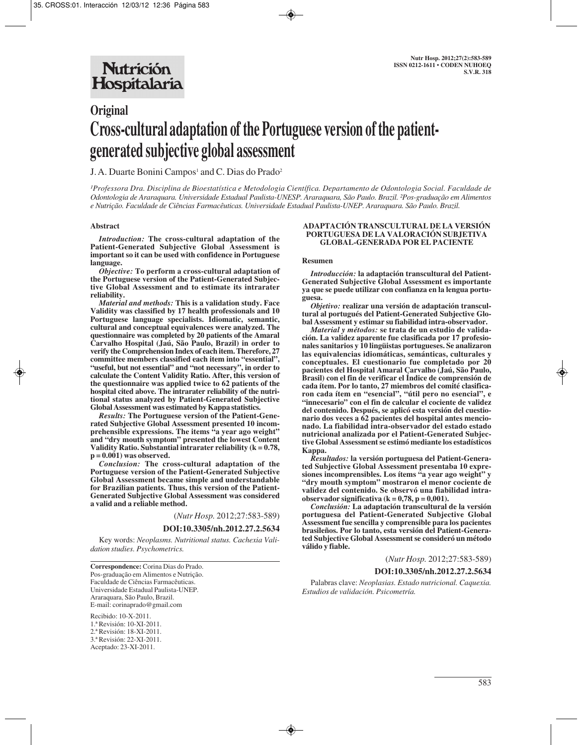# **Original Cross-cultural adaptation of the Portuguese version of the patientgenerated subjective global assessment**

J. A. Duarte Bonini Campos<sup>1</sup> and C. Dias do Prado<sup>2</sup>

*¹Professora Dra. Disciplina de Bioestatística e Metodologia Científica. Departamento de Odontologia Social. Faculdade de Odontologia de Araraquara. Universidade Estadual Paulista-UNESP. Araraquara, São Paulo. Brazil. ²Pos-graduação em Alimentos e Nutrição. Faculdade de Ciências Farmacêuticas. Universidade Estadual Paulista-UNEP. Araraquara. São Paulo. Brazil.*

#### **Abstract**

*Introduction:* **The cross-cultural adaptation of the Patient-Generated Subjective Global Assessment is important so it can be used with confidence in Portuguese language.** 

*Objective:* **To perform a cross-cultural adaptation of the Portuguese version of the Patient-Generated Subjective Global Assessment and to estimate its intrarater reliability.** 

*Material and methods:* **This is a validation study. Face Validity was classified by 17 health professionals and 10 Portuguese language specialists. Idiomatic, semantic, cultural and conceptual equivalences were analyzed. The questionnaire was completed by 20 patients of the Amaral Carvalho Hospital (Jaú, São Paulo, Brazil) in order to verify the Comprehension Index of each item. Therefore, 27 committee members classified each item into "essential", "useful, but not essential" and "not necessary", in order to calculate the Content Validity Ratio. After, this version of the questionnaire was applied twice to 62 patients of the hospital cited above. The intrarater reliability of the nutritional status analyzed by Patient-Generated Subjective Global Assessment was estimated by Kappa statistics.** 

*Results:* **The Portuguese version of the Patient-Generated Subjective Global Assessment presented 10 incomprehensible expressions. The items "a year ago weight" and "dry mouth symptom" presented the lowest Content Validity Ratio. Substantial intrarater reliability (k = 0.78, p = 0.001) was observed.** 

*Conclusion:* **The cross-cultural adaptation of the Portuguese version of the Patient-Generated Subjective Global Assessment became simple and understandable for Brazilian patients. Thus, this version of the Patient-Generated Subjective Global Assessment was considered a valid and a reliable method.** 

(*Nutr Hosp.* 2012;27:583-589)

#### **DOI:10.3305/nh.2012.27.2.5634**

Key words: *Neoplasms. Nutritional status. Cachexia Validation studies. Psychometrics.*

**Correspondence:** Corina Dias do Prado. Pos-graduação em Alimentos e Nutrição. Faculdade de Ciências Farmacêuticas. Universidade Estadual Paulista-UNEP. Araraquara, São Paulo, Brazil. E-mail: corinaprado@gmail.com

Recibido: 10-X-2011. 1.ª Revisión: 10-XI-2011. 2.ª Revisión: 18-XI-2011. 3.ª Revisión: 22-XI-2011. Aceptado: 23-XI-2011.

#### **ADAPTACIÓN TRANSCULTURAL DE LA VERSIÓN PORTUGUESA DE LA VALORACIÓN SUBJETIVA GLOBAL-GENERADA POR EL PACIENTE**

#### **Resumen**

*Introducción:* **la adaptación transcultural del Patient-Generated Subjective Global Assessment es importante ya que se puede utilizar con confianza en la lengua portuguesa.** 

*Objetivo:* **realizar una versión de adaptación transcultural al portugués del Patient-Generated Subjective Global Assessment y estimar su fiabilidad intra-observador.**

*Material y métodos:* **se trata de un estudio de validación. La validez aparente fue clasificada por 17 profesionales sanitarios y 10 lingüistas portugueses. Se analizaron las equivalencias idiomáticas, semánticas, culturales y conceptuales. El cuestionario fue completado por 20 pacientes del Hospital Amaral Carvalho (Jaú, São Paulo, Brasil) con el fin de verificar el Índice de comprensión de cada ítem. Por lo tanto, 27 miembros del comité clasificaron cada ítem en "esencial", "útil pero no esencial", e "innecesario" con el fin de calcular el cociente de validez del contenido. Después, se aplicó esta versión del cuestionario dos veces a 62 pacientes del hospital antes mencionado. La fiabilidad intra-observador del estado estado nutricional analizada por el Patient-Generated Subjective Global Assessment se estimó mediante los estadísticos Kappa.**

*Resultados:* **la versión portuguesa del Patient-Generated Subjective Global Assessment presentaba 10 expresiones incomprensibles. Los ítems "a year ago weight" y "dry mouth symptom" mostraron el menor cociente de validez del contenido. Se observó una fiabilidad intraobservador significativa (k = 0,78, p = 0,001).** 

*Conclusión:* **La adaptación transcultural de la versión portuguesa del Patient-Generated Subjective Global Assessment fue sencilla y comprensible para los pacientes brasileños. Por lo tanto, esta versión del Patient-Generated Subjective Global Assessment se consideró un método válido y fiable.**

(*Nutr Hosp.* 2012;27:583-589)

**DOI:10.3305/nh.2012.27.2.5634**

Palabras clave: *Neoplasias. Estado nutricional. Caquexia. Estudios de validación. Psicometría.*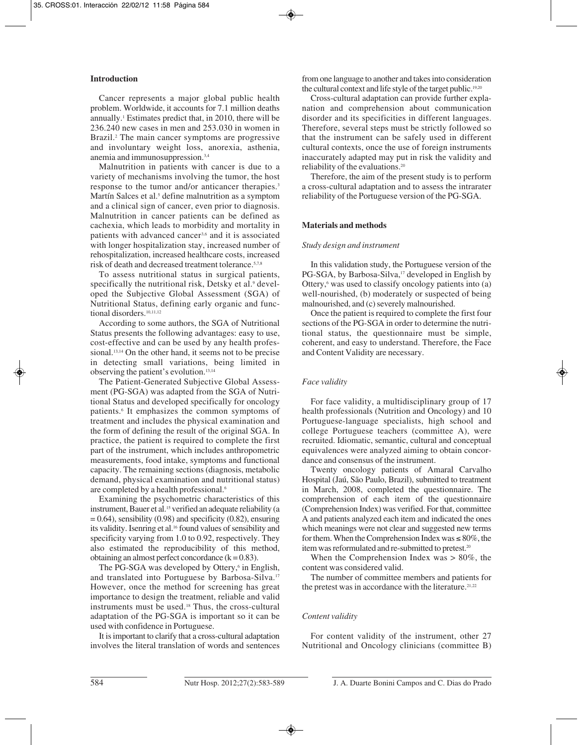## **Introduction**

Cancer represents a major global public health problem. Worldwide, it accounts for 7.1 million deaths annually.1 Estimates predict that, in 2010, there will be 236.240 new cases in men and 253.030 in women in Brazil.<sup>2</sup> The main cancer symptoms are progressive and involuntary weight loss, anorexia, asthenia, anemia and immunosuppression.3,4

Malnutrition in patients with cancer is due to a variety of mechanisms involving the tumor, the host response to the tumor and/or anticancer therapies.<sup>3</sup> Martín Salces et al.<sup>5</sup> define malnutrition as a symptom and a clinical sign of cancer, even prior to diagnosis. Malnutrition in cancer patients can be defined as cachexia, which leads to morbidity and mortality in patients with advanced cancer<sup>3,6</sup> and it is associated with longer hospitalization stay, increased number of rehospitalization, increased healthcare costs, increased risk of death and decreased treatment tolerance.5,7,8

To assess nutritional status in surgical patients, specifically the nutritional risk, Detsky et al.<sup>9</sup> developed the Subjective Global Assessment (SGA) of Nutritional Status, defining early organic and functional disorders.<sup>10,11,12</sup>

According to some authors, the SGA of Nutritional Status presents the following advantages: easy to use, cost-effective and can be used by any health professional.<sup>13,14</sup> On the other hand, it seems not to be precise in detecting small variations, being limited in observing the patient's evolution.13,14

The Patient-Generated Subjective Global Assessment (PG-SGA) was adapted from the SGA of Nutritional Status and developed specifically for oncology patients.6 It emphasizes the common symptoms of treatment and includes the physical examination and the form of defining the result of the original SGA. In practice, the patient is required to complete the first part of the instrument, which includes anthropometric measurements, food intake, symptoms and functional capacity. The remaining sections (diagnosis, metabolic demand, physical examination and nutritional status) are completed by a health professional.6

Examining the psychometric characteristics of this instrument, Bauer et al.<sup>15</sup> verified an adequate reliability (a  $= 0.64$ ), sensibility (0.98) and specificity (0.82), ensuring its validity. Isenring et al.16 found values of sensibility and specificity varying from 1.0 to 0.92, respectively. They also estimated the reproducibility of this method, obtaining an almost perfect concordance  $(k = 0.83)$ .

The PG-SGA was developed by Ottery,<sup>6</sup> in English, and translated into Portuguese by Barbosa-Silva.17 However, once the method for screening has great importance to design the treatment, reliable and valid instruments must be used.<sup>18</sup> Thus, the cross-cultural adaptation of the PG-SGA is important so it can be used with confidence in Portuguese.

It is important to clarify that a cross-cultural adaptation involves the literal translation of words and sentences from one language to another and takes into consideration the cultural context and life style of the target public.19,20

Cross-cultural adaptation can provide further explanation and comprehension about communication disorder and its specificities in different languages. Therefore, several steps must be strictly followed so that the instrument can be safely used in different cultural contexts, once the use of foreign instruments inaccurately adapted may put in risk the validity and reliability of the evaluations.20

Therefore, the aim of the present study is to perform a cross-cultural adaptation and to assess the intrarater reliability of the Portuguese version of the PG-SGA.

# **Materials and methods**

## *Study design and instrument*

In this validation study, the Portuguese version of the PG-SGA, by Barbosa-Silva,<sup>17</sup> developed in English by Ottery, $6$  was used to classify oncology patients into (a) well-nourished, (b) moderately or suspected of being malnourished, and (c) severely malnourished.

Once the patient is required to complete the first four sections of the PG-SGA in order to determine the nutritional status, the questionnaire must be simple, coherent, and easy to understand. Therefore, the Face and Content Validity are necessary.

# *Face validity*

For face validity, a multidisciplinary group of 17 health professionals (Nutrition and Oncology) and 10 Portuguese-language specialists, high school and college Portuguese teachers (committee A), were recruited. Idiomatic, semantic, cultural and conceptual equivalences were analyzed aiming to obtain concordance and consensus of the instrument.

Twenty oncology patients of Amaral Carvalho Hospital (Jaú, São Paulo, Brazil), submitted to treatment in March, 2008, completed the questionnaire. The comprehension of each item of the questionnaire (Comprehension Index) was verified. For that, committee A and patients analyzed each item and indicated the ones which meanings were not clear and suggested new terms for them. When the Comprehension Index was  $\leq 80\%$ , the item was reformulated and re-submitted to pretest.<sup>20</sup>

When the Comprehension Index was  $> 80\%$ , the content was considered valid.

The number of committee members and patients for the pretest was in accordance with the literature.<sup>21,22</sup>

## *Content validity*

For content validity of the instrument, other 27 Nutritional and Oncology clinicians (committee B)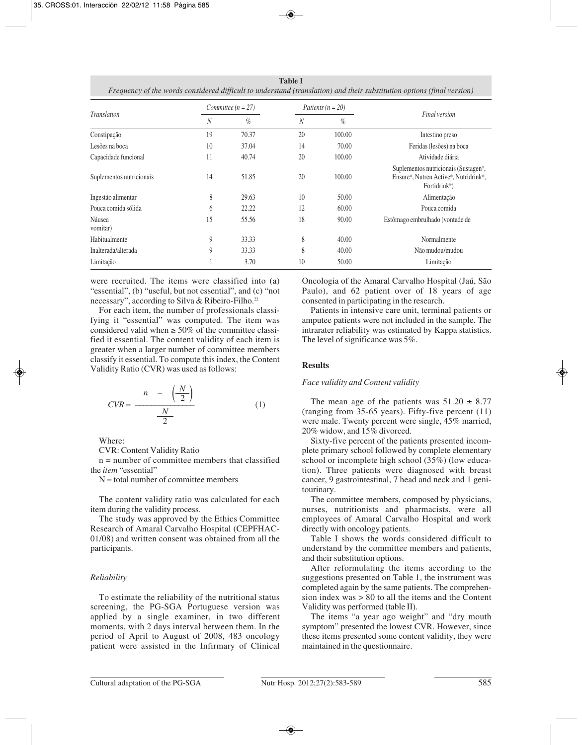**Table I** *Frequency of the words considered difficult to understand (translation) and their substitution options (final version)*

|                          | Committee ( $n = 27$ ) |       | Patients ( $n = 20$ ) |        |                                                                                                            |  |
|--------------------------|------------------------|-------|-----------------------|--------|------------------------------------------------------------------------------------------------------------|--|
| Translation              | N                      | $\%$  | N                     | $\%$   | <b>Final</b> version                                                                                       |  |
| Constipação              | 19                     | 70.37 | 20                    | 100.00 | Intestino preso                                                                                            |  |
| Lesões na boca           | 10                     | 37.04 | 14                    | 70.00  | Feridas (lesões) na boca                                                                                   |  |
| Capacidade funcional     | 11                     | 40.74 | 20                    | 100.00 | Atividade diária                                                                                           |  |
| Suplementos nutricionais | 14                     | 51.85 | 20                    | 100.00 | Suplementos nutricionais (Sustagen®,<br>Ensure®, Nutren Active®, Nutridrink®,<br>Fortidrink <sup>®</sup> ) |  |
| Ingestão alimentar       | 8                      | 29.63 | 10                    | 50.00  | Alimentação                                                                                                |  |
| Pouca comida sólida      | 6                      | 22.22 | 12                    | 60.00  | Pouca comida                                                                                               |  |
| Náusea<br>vomitar)       | 15                     | 55.56 | 18                    | 90.00  | Estômago embrulhado (vontade de                                                                            |  |
| Habitualmente            | 9                      | 33.33 | 8                     | 40.00  | Normalmente                                                                                                |  |
| Inalterada/alterada      | 9                      | 33.33 | 8                     | 40.00  | Não mudou/mudou                                                                                            |  |
| Limitação                |                        | 3.70  | 10                    | 50.00  | Limitação                                                                                                  |  |

were recruited. The items were classified into (a) "essential", (b) "useful, but not essential", and (c) "not necessary", according to Silva & Ribeiro-Filho.<sup>22</sup>

For each item, the number of professionals classifying it "essential" was computed. The item was considered valid when  $\geq 50\%$  of the committee classified it essential. The content validity of each item is greater when a larger number of committee members classify it essential. To compute this index, the Content Validity Ratio (CVR) was used as follows:

$$
CVR = \frac{n - \left(\frac{N}{2}\right)}{\frac{N}{2}} \tag{1}
$$

Where:

CVR: Content Validity Ratio

 $n =$  number of committee members that classified the *item* "essential"

 $N =$  total number of committee members

The content validity ratio was calculated for each item during the validity process.

The study was approved by the Ethics Committee Research of Amaral Carvalho Hospital (CEPFHAC-01/08) and written consent was obtained from all the participants.

# *Reliability*

To estimate the reliability of the nutritional status screening, the PG-SGA Portuguese version was applied by a single examiner, in two different moments, with 2 days interval between them. In the period of April to August of 2008, 483 oncology patient were assisted in the Infirmary of Clinical Oncologia of the Amaral Carvalho Hospital (Jaú, São Paulo), and 62 patient over of 18 years of age consented in participating in the research.

Patients in intensive care unit, terminal patients or amputee patients were not included in the sample. The intrarater reliability was estimated by Kappa statistics. The level of significance was 5%.

# **Results**

# *Face validity and Content validity*

The mean age of the patients was  $51.20 \pm 8.77$ (ranging from 35-65 years). Fifty-five percent (11) were male. Twenty percent were single, 45% married, 20% widow, and 15% divorced.

Sixty-five percent of the patients presented incomplete primary school followed by complete elementary school or incomplete high school (35%) (low education). Three patients were diagnosed with breast cancer, 9 gastrointestinal, 7 head and neck and 1 genitourinary.

The committee members, composed by physicians, nurses, nutritionists and pharmacists, were all employees of Amaral Carvalho Hospital and work directly with oncology patients.

Table I shows the words considered difficult to understand by the committee members and patients, and their substitution options.

After reformulating the items according to the suggestions presented on Table 1, the instrument was completed again by the same patients. The comprehension index was > 80 to all the items and the Content Validity was performed (table II).

The items "a year ago weight" and "dry mouth symptom" presented the lowest CVR. However, since these items presented some content validity, they were maintained in the questionnaire.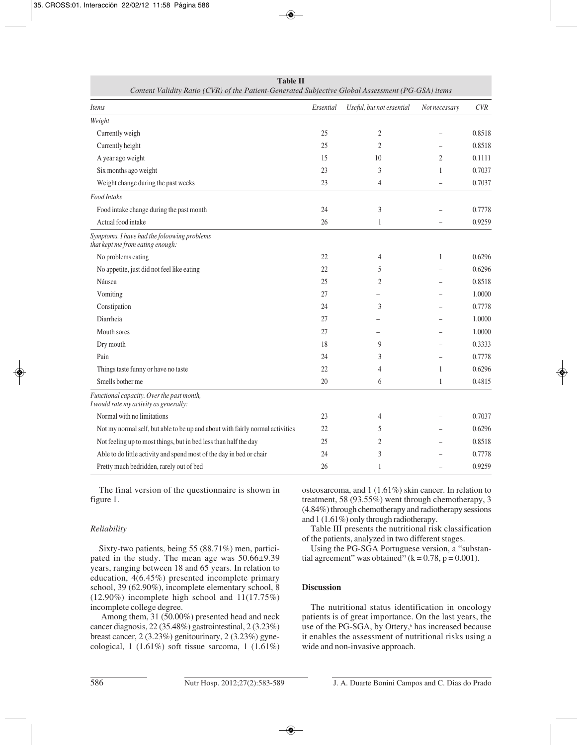| Comem Vanany Kano (CVR) of the Panem-Generated Subjective Global Assessment (PG-GSA) hems |           |                           |                |        |  |  |  |  |
|-------------------------------------------------------------------------------------------|-----------|---------------------------|----------------|--------|--|--|--|--|
| <b>Items</b>                                                                              | Essential | Useful, but not essential | Not necessary  | CVR    |  |  |  |  |
| Weight                                                                                    |           |                           |                |        |  |  |  |  |
| Currently weigh                                                                           | 25        | 2                         |                | 0.8518 |  |  |  |  |
| Currently height                                                                          | 25        | $\mathfrak{2}$            |                | 0.8518 |  |  |  |  |
| A year ago weight                                                                         | 15        | 10                        | $\overline{2}$ | 0.1111 |  |  |  |  |
| Six months ago weight                                                                     | 23        | 3                         | $\mathbf{1}$   | 0.7037 |  |  |  |  |
| Weight change during the past weeks                                                       | 23        | 4                         |                | 0.7037 |  |  |  |  |
| Food Intake                                                                               |           |                           |                |        |  |  |  |  |
| Food intake change during the past month                                                  | 24        | 3                         |                | 0.7778 |  |  |  |  |
| Actual food intake                                                                        | 26        | $\mathbf{1}$              |                | 0.9259 |  |  |  |  |
| Symptoms. I have had the foloowing problems<br>that kept me from eating enough:           |           |                           |                |        |  |  |  |  |
| No problems eating                                                                        | 22        | 4                         | 1              | 0.6296 |  |  |  |  |
| No appetite, just did not feel like eating                                                | 22        | 5                         |                | 0.6296 |  |  |  |  |
| Náusea                                                                                    | 25        | 2                         |                | 0.8518 |  |  |  |  |
| Vomiting                                                                                  | 27        |                           |                | 1.0000 |  |  |  |  |
| Constipation                                                                              | 24        | 3                         |                | 0.7778 |  |  |  |  |
| Diarrheia                                                                                 | 27        |                           |                | 1.0000 |  |  |  |  |
| Mouth sores                                                                               | 27        |                           |                | 1.0000 |  |  |  |  |
| Dry mouth                                                                                 | 18        | 9                         |                | 0.3333 |  |  |  |  |
| Pain                                                                                      | 24        | 3                         |                | 0.7778 |  |  |  |  |
| Things taste funny or have no taste                                                       | 22        | 4                         | 1              | 0.6296 |  |  |  |  |
| Smells bother me                                                                          | 20        | 6                         | 1              | 0.4815 |  |  |  |  |
| Functional capacity. Over the past month,<br>I would rate my activity as generally:       |           |                           |                |        |  |  |  |  |
| Normal with no limitations                                                                | 23        | 4                         |                | 0.7037 |  |  |  |  |
| Not my normal self, but able to be up and about with fairly normal activities             | 22        | 5                         |                | 0.6296 |  |  |  |  |
| Not feeling up to most things, but in bed less than half the day                          | 25        | 2                         |                | 0.8518 |  |  |  |  |
| Able to do little activity and spend most of the day in bed or chair                      | 24        | 3                         |                | 0.7778 |  |  |  |  |
| Pretty much bedridden, rarely out of bed                                                  | 26        | 1                         |                | 0.9259 |  |  |  |  |

**Table II**<br>anaxated Subjective Global Assessment (*PG GSA*) its *Content Validity Ratio (CVR) of the Patient-Generated Subjective Global Assessment (PG-GSA) items*

The final version of the questionnaire is shown in figure 1.

## *Reliability*

Sixty-two patients, being 55 (88.71%) men, participated in the study. The mean age was 50.66±9.39 years, ranging between 18 and 65 years. In relation to education, 4(6.45%) presented incomplete primary school, 39 (62.90%), incomplete elementary school, 8 (12.90%) incomplete high school and 11(17.75%) incomplete college degree.

Among them, 31 (50.00%) presented head and neck cancer diagnosis, 22 (35.48%) gastrointestinal, 2 (3.23%) breast cancer, 2 (3.23%) genitourinary, 2 (3.23%) gynecological, 1 (1.61%) soft tissue sarcoma, 1 (1.61%) osteosarcoma, and 1 (1.61%) skin cancer. In relation to treatment, 58 (93.55%) went through chemotherapy, 3 (4.84%) through chemotherapy and radiotherapy sessions and 1 (1.61%) only through radiotherapy.

Table III presents the nutritional risk classification of the patients, analyzed in two different stages.

Using the PG-SGA Portuguese version, a "substantial agreement" was obtained<sup>23</sup> (k = 0.78, p = 0.001).

## **Discussion**

The nutritional status identification in oncology patients is of great importance. On the last years, the use of the PG-SGA, by Ottery,<sup>6</sup> has increased because it enables the assessment of nutritional risks using a wide and non-invasive approach.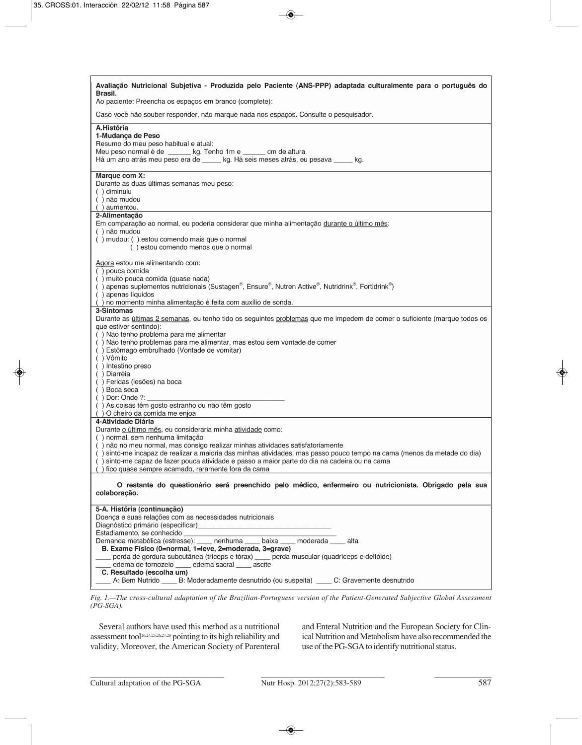| Avaliação Nutricional Subjetiva - Produzida pelo Paciente (ANS-PPP) adaptada culturalmente para o português do<br>Brasil.<br>Ao paciente: Preencha os espaços em branco (complete):                                                                                                                                                                                                                                                                                                                                                                                                    |  |  |  |  |  |
|----------------------------------------------------------------------------------------------------------------------------------------------------------------------------------------------------------------------------------------------------------------------------------------------------------------------------------------------------------------------------------------------------------------------------------------------------------------------------------------------------------------------------------------------------------------------------------------|--|--|--|--|--|
| Caso você não souber responder, não marque nada nos espaços. Consulte o pesquisador.                                                                                                                                                                                                                                                                                                                                                                                                                                                                                                   |  |  |  |  |  |
| A.História<br>1-Mudança de Peso<br>Resumo do meu peso habitual e atual:<br>Meu peso normal é de _______ kg. Tenho 1m e ______ cm de altura.<br>Há um ano atrás meu peso era de _____ kg. Há seis meses atrás, eu pesava _____ kg.                                                                                                                                                                                                                                                                                                                                                      |  |  |  |  |  |
| Marque com X:<br>Durante as duas últimas semanas meu peso:<br>() diminuiu<br>() não mudou<br>() aumentou.                                                                                                                                                                                                                                                                                                                                                                                                                                                                              |  |  |  |  |  |
| 2-Alimentação<br>Em comparação ao normal, eu poderia considerar que minha alimentação durante o último mês:<br>() não mudou<br>() mudou: () estou comendo mais que o normal<br>() estou comendo menos que o normal                                                                                                                                                                                                                                                                                                                                                                     |  |  |  |  |  |
| Agora estou me alimentando com:<br>() pouca comida<br>() muito pouca comida (quase nada)<br>() apenas suplementos nutricionais (Sustagen®, Ensure®, Nutren Active®, Nutridrink®, Fortidrink®)<br>() apenas líquidos<br>() no momento minha alimentação é feita com auxílio de sonda.                                                                                                                                                                                                                                                                                                   |  |  |  |  |  |
| 3-Sintomas<br>Durante as últimas 2 semanas, eu tenho tido os seguintes problemas que me impedem de comer o suficiente (marque todos os<br>que estiver sentindo):<br>() Não tenho problema para me alimentar<br>() Não tenho problemas para me alimentar, mas estou sem vontade de comer<br>() Estômago embrulhado (Vontade de vomitar)<br>() Vômito<br>() Intestino preso<br>() Diarréia<br>( ) Feridas (lesões) na boca<br>() Boca seca<br>() Dor: Onde ?: $\_$<br>() As coisas têm gosto estranho ou não têm gosto<br>() O cheiro da comida me enjoa                                 |  |  |  |  |  |
| 4-Atividade Diária<br>Durante o último mês, eu consideraria minha atividade como:<br>() normal, sem nenhuma limitação<br>() não no meu normal, mas consigo realizar minhas atividades satisfatoriamente<br>() sinto-me incapaz de realizar a maioria das minhas atividades, mas passo pouco tempo na cama (menos da metade do dia)<br>() sinto-me capaz de fazer pouca atividade e passo a maior parte do dia na cadeira ou na cama<br>() fico quase sempre acamado, raramente fora da cama                                                                                            |  |  |  |  |  |
| O restante do questionário será preenchido pelo médico, enfermeiro ou nutricionista. Obrigado pela sua<br>colaboração.                                                                                                                                                                                                                                                                                                                                                                                                                                                                 |  |  |  |  |  |
| 5-A. História (continuação)<br>Doença e suas relações com as necessidades nutricionais<br>Diagnóstico primário (especificar)<br>Estadiamento, se conhecido<br>Demanda metabólica (estresse): ____ nenhuma ____ baixa ____ moderada ____ alta<br>B. Exame Físico (0=normal, 1=leve, 2=moderada, 3=grave)<br>perda de gordura subcutânea (tríceps e tórax) __ perda muscular (quadríceps e deltóide)<br>edema de tornozelo _____ edema sacral _____ ascite<br>C. Resultado (escolha um)<br>A: Bem Nutrido _____ B: Moderadamente desnutrido (ou suspeita) _____ C: Gravemente desnutrido |  |  |  |  |  |

*Fig. 1.—The cross-cultural adaptation of the Brazilian-Portuguese version of the Patient-Generated Subjective Global Assessment (PG-SGA).*

Several authors have used this method as a nutritional assessment tool16,24,25,26,27,28 pointing to its high reliability and validity. Moreover, the American Society of Parenteral and Enteral Nutrition and the European Society for Clinical Nutrition and Metabolism have also recommended the use of the PG-SGA to identify nutritional status.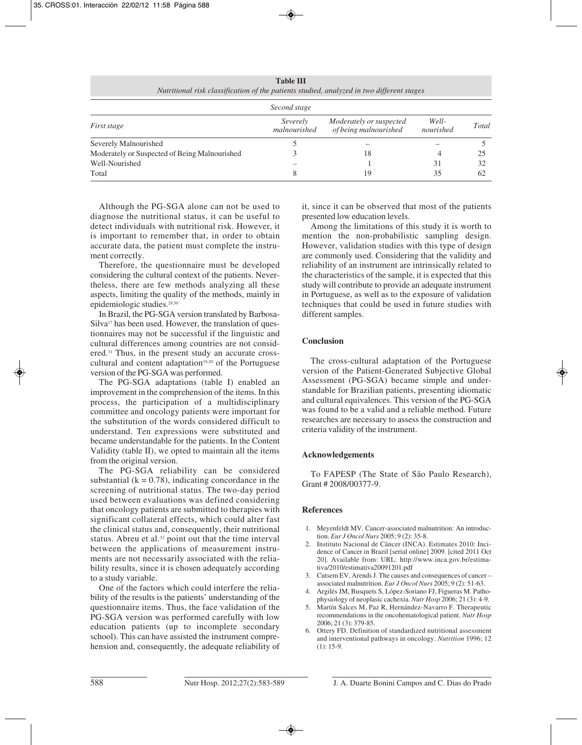| Second stage                                  |                          |                                                  |                    |       |  |  |  |  |  |
|-----------------------------------------------|--------------------------|--------------------------------------------------|--------------------|-------|--|--|--|--|--|
| <i>First stage</i>                            | Severely<br>malnourished | Moderately or suspected<br>of being malnourished | Well-<br>nourished | Total |  |  |  |  |  |
| Severely Malnourished                         |                          |                                                  |                    |       |  |  |  |  |  |
| Moderately or Suspected of Being Malnourished |                          | 18                                               |                    | 25    |  |  |  |  |  |
| Well-Nourished                                |                          |                                                  | 31                 | 32    |  |  |  |  |  |
| Total                                         |                          | 19                                               | 35                 | 62    |  |  |  |  |  |

**Table III** *Nutritional risk classification of the patients studied, analyzed in two different stages*

Although the PG-SGA alone can not be used to diagnose the nutritional status, it can be useful to detect individuals with nutritional risk. However, it is important to remember that, in order to obtain accurate data, the patient must complete the instrument correctly.

Therefore, the questionnaire must be developed considering the cultural context of the patients. Nevertheless, there are few methods analyzing all these aspects, limiting the quality of the methods, mainly in epidemiologic studies.29,30

In Brazil, the PG-SGA version translated by Barbosa-Silva<sup>17</sup> has been used. However, the translation of questionnaires may not be successful if the linguistic and cultural differences among countries are not considered.31 Thus, in the present study an accurate crosscultural and content adaptation<sup>19,20</sup> of the Portuguese version of the PG-SGA was performed.

The PG-SGA adaptations (table I) enabled an improvement in the comprehension of the items. In this process, the participation of a multidisciplinary committee and oncology patients were important for the substitution of the words considered difficult to understand. Ten expressions were substituted and became understandable for the patients. In the Content Validity (table II), we opted to maintain all the items from the original version.

The PG-SGA reliability can be considered substantial  $(k = 0.78)$ , indicating concordance in the screening of nutritional status. The two-day period used between evaluations was defined considering that oncology patients are submitted to therapies with significant collateral effects, which could alter fast the clinical status and, consequently, their nutritional status. Abreu et al.<sup>32</sup> point out that the time interval between the applications of measurement instruments are not necessarily associated with the reliability results, since it is chosen adequately according to a study variable.

One of the factors which could interfere the reliability of the results is the patients' understanding of the questionnaire items. Thus, the face validation of the PG-SGA version was performed carefully with low education patients (up to incomplete secondary school). This can have assisted the instrument comprehension and, consequently, the adequate reliability of it, since it can be observed that most of the patients presented low education levels.

Among the limitations of this study it is worth to mention the non-probabilistic sampling design. However, validation studies with this type of design are commonly used. Considering that the validity and reliability of an instrument are intrinsically related to the characteristics of the sample, it is expected that this study will contribute to provide an adequate instrument in Portuguese, as well as to the exposure of validation techniques that could be used in future studies with different samples.

# **Conclusion**

The cross-cultural adaptation of the Portuguese version of the Patient-Generated Subjective Global Assessment (PG-SGA) became simple and understandable for Brazilian patients, presenting idiomatic and cultural equivalences. This version of the PG-SGA was found to be a valid and a reliable method. Future researches are necessary to assess the construction and criteria validity of the instrument.

# **Acknowledgements**

To FAPESP (The State of São Paulo Research), Grant # 2008/00377-9.

# **References**

- 1. Meyenfeldt MV. Cancer-associated malnutrition: An introduction. *Eur J Oncol Nurs* 2005; 9 (2): 35-8.
- 2. Instituto Nacional de Câncer (INCA). Estimates 2010: Incidence of Cancer in Brazil [serial online] 2009. [cited 2011 Oct 20]. Available from: URL: http://www.inca.gov.br/estimativa/2010/estimativa20091201.pdf
- 3. Cutsem EV, Arends J. The causes and consequences of cancer associated malnutrition. *Eur J Oncol Nurs* 2005; 9 (2): 51-63.
- 4. Argilés JM, Busquets S, López-Soriano FJ, Figueras M. Pathophysiology of neoplasic cachexia. *Nutr Hosp* 2006; 21 (3): 4-9.
- 5. Martín Salces M, Paz R, Hernández-Navarro F. Therapeutic recommendations in the oncohematological patient. *Nutr Hosp* 2006; 21 (3): 379-85.
- 6. Ottery FD. Definition of standardized nutritional assessment and interventional pathways in oncology. *Nutrition* 1996; 12 (1): 15-9.